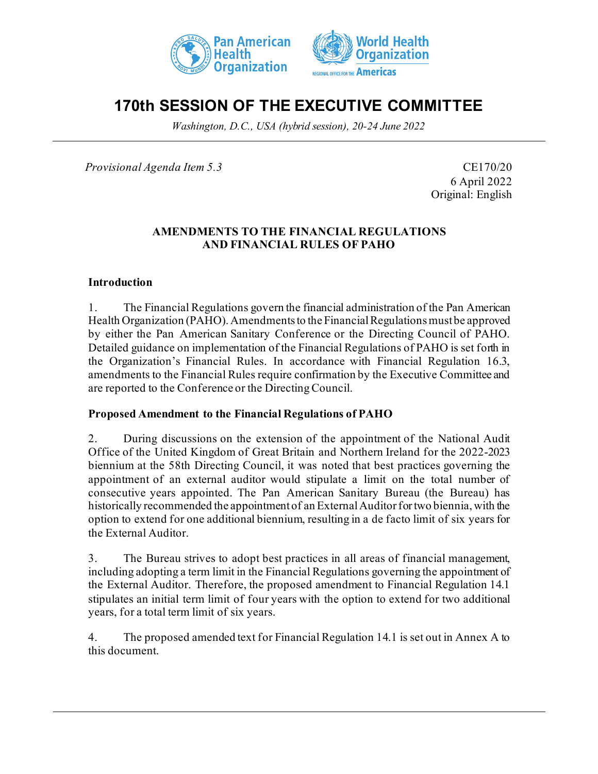



# **170th SESSION OF THE EXECUTIVE COMMITTEE**

*Washington, D.C., USA (hybrid session), 20-24 June 2022*

*Provisional Agenda Item 5.3* CE170/20

6 April 2022 Original: English

### **AMENDMENTS TO THE FINANCIAL REGULATIONS AND FINANCIAL RULES OF PAHO**

### **Introduction**

1. The Financial Regulations govern the financial administration of the Pan American Health Organization (PAHO). Amendments to the Financial Regulations must be approved by either the Pan American Sanitary Conference or the Directing Council of PAHO. Detailed guidance on implementation of the Financial Regulations of PAHO is set forth in the Organization's Financial Rules. In accordance with Financial Regulation 16.3, amendments to the Financial Rules require confirmation by the Executive Committee and are reported to the Conference or the Directing Council.

### **Proposed Amendment to the Financial Regulations of PAHO**

2. During discussions on the extension of the appointment of the National Audit Office of the United Kingdom of Great Britain and Northern Ireland for the 2022-2023 biennium at the 58th Directing Council, it was noted that best practices governing the appointment of an external auditor would stipulate a limit on the total number of consecutive years appointed. The Pan American Sanitary Bureau (the Bureau) has historically recommended the appointment of an External Auditor for two biennia, with the option to extend for one additional biennium, resulting in a de facto limit of six years for the External Auditor.

3. The Bureau strives to adopt best practices in all areas of financial management, including adopting a term limit in the Financial Regulations governing the appointment of the External Auditor. Therefore, the proposed amendment to Financial Regulation 14.1 stipulates an initial term limit of four years with the option to extend for two additional years, for a total term limit of six years.

4. The proposed amended text for Financial Regulation 14.1 is set out in Annex A to this document.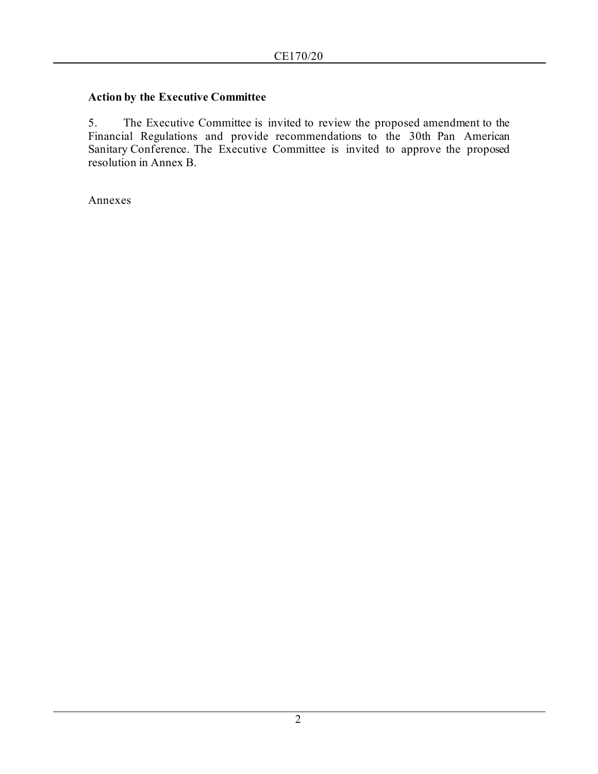## **Action by the Executive Committee**

5. The Executive Committee is invited to review the proposed amendment to the Financial Regulations and provide recommendations to the 30th Pan American Sanitary Conference. The Executive Committee is invited to approve the proposed resolution in Annex B.

Annexes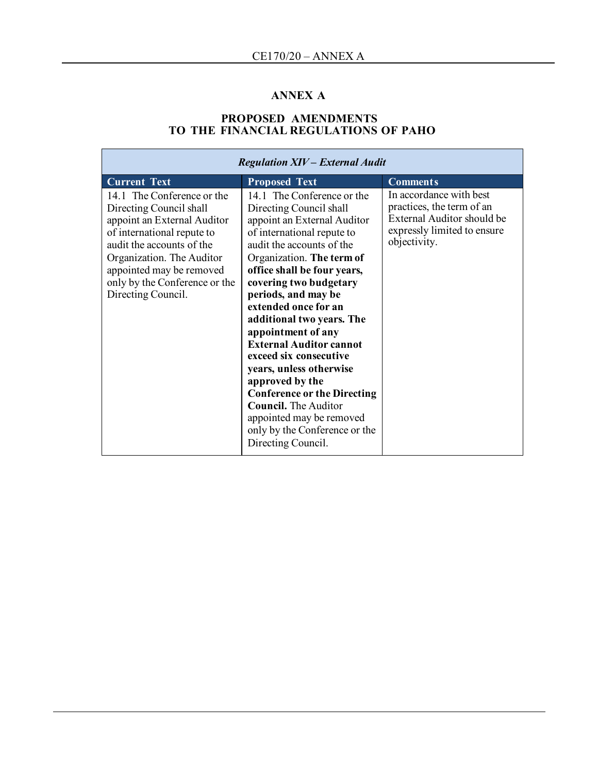# **ANNEX A**

#### **PROPOSED AMENDMENTS TO THE FINANCIAL REGULATIONS OF PAHO**

| <b>Regulation XIV - External Audit</b>                                                                                                                                                                                                                          |                                                                                                                                                                                                                                                                                                                                                                                                                                                                                                                                                                                                           |                                                                                                                                          |
|-----------------------------------------------------------------------------------------------------------------------------------------------------------------------------------------------------------------------------------------------------------------|-----------------------------------------------------------------------------------------------------------------------------------------------------------------------------------------------------------------------------------------------------------------------------------------------------------------------------------------------------------------------------------------------------------------------------------------------------------------------------------------------------------------------------------------------------------------------------------------------------------|------------------------------------------------------------------------------------------------------------------------------------------|
| <b>Current Text</b>                                                                                                                                                                                                                                             | <b>Proposed Text</b>                                                                                                                                                                                                                                                                                                                                                                                                                                                                                                                                                                                      | <b>Comments</b>                                                                                                                          |
| 14.1 The Conference or the<br>Directing Council shall<br>appoint an External Auditor<br>of international repute to<br>audit the accounts of the<br>Organization. The Auditor<br>appointed may be removed<br>only by the Conference or the<br>Directing Council. | 14.1 The Conference or the<br>Directing Council shall<br>appoint an External Auditor<br>of international repute to<br>audit the accounts of the<br>Organization. The term of<br>office shall be four years,<br>covering two budgetary<br>periods, and may be<br>extended once for an<br>additional two years. The<br>appointment of any<br><b>External Auditor cannot</b><br>exceed six consecutive<br>years, unless otherwise<br>approved by the<br><b>Conference or the Directing</b><br><b>Council.</b> The Auditor<br>appointed may be removed<br>only by the Conference or the<br>Directing Council. | In accordance with best<br>practices, the term of an<br><b>External Auditor should be</b><br>expressly limited to ensure<br>objectivity. |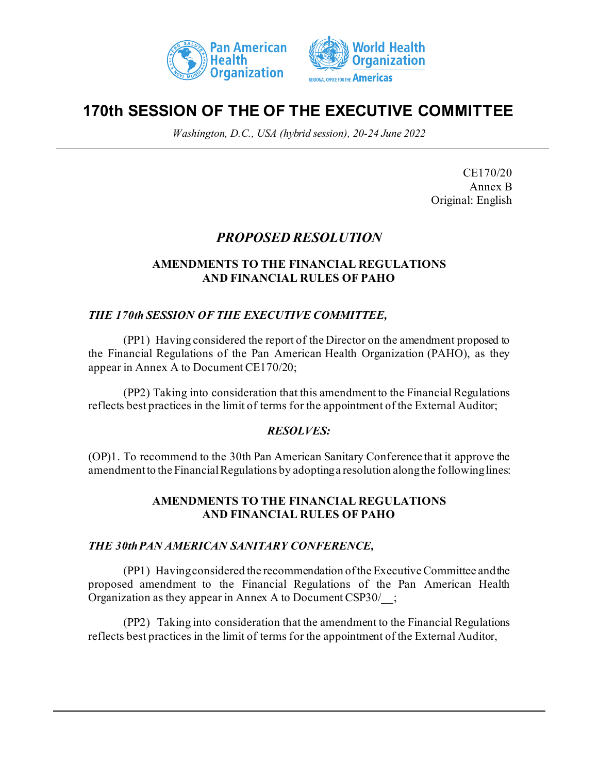



# **170th SESSION OF THE OF THE EXECUTIVE COMMITTEE**

*Washington, D.C., USA (hybrid session), 20-24 June 2022*

CE170/20 Annex B Original: English

# *PROPOSED RESOLUTION*

# **AMENDMENTS TO THE FINANCIAL REGULATIONS AND FINANCIAL RULES OF PAHO**

# *THE 170th SESSION OF THE EXECUTIVE COMMITTEE,*

(PP1) Having considered the report of the Director on the amendment proposed to the Financial Regulations of the Pan American Health Organization (PAHO), as they appear in Annex A to Document CE170/20;

(PP2) Taking into consideration that this amendment to the Financial Regulations reflects best practices in the limit of terms for the appointment of the External Auditor;

# *RESOLVES:*

(OP)1. To recommend to the 30th Pan American Sanitary Conference that it approve the amendment to the Financial Regulations by adopting a resolution along the following lines:

### **AMENDMENTS TO THE FINANCIAL REGULATIONS AND FINANCIAL RULES OF PAHO**

### *THE 30thPAN AMERICAN SANITARY CONFERENCE,*

(PP1) Havingconsidered the recommendation of the Executive Committee and the proposed amendment to the Financial Regulations of the Pan American Health Organization as they appear in Annex A to Document CSP30/\_\_;

(PP2) Taking into consideration that the amendment to the Financial Regulations reflects best practices in the limit of terms for the appointment of the External Auditor,